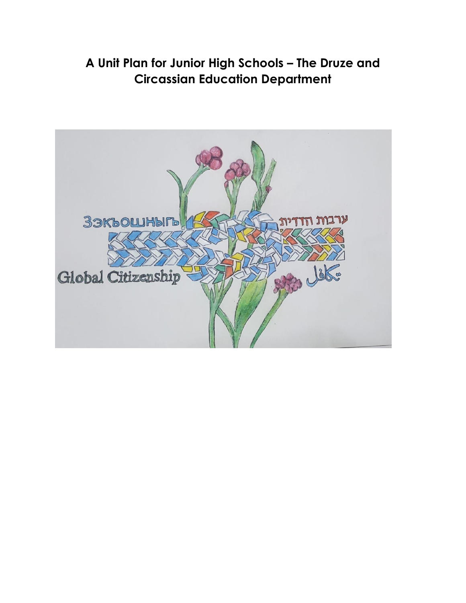### **A Unit Plan for Junior High Schools – The Druze and Circassian Education Department**

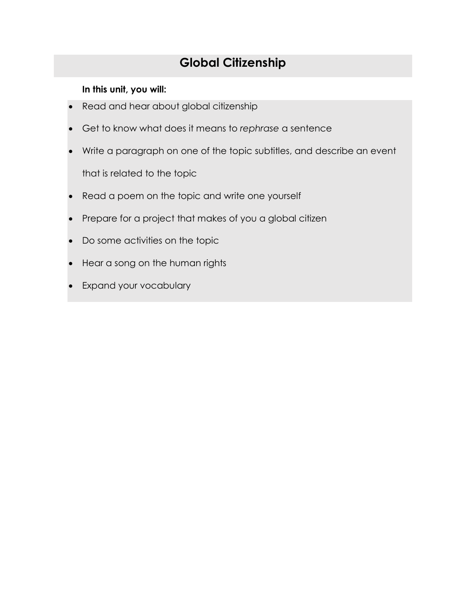### **Global Citizenship**

#### **In this unit, you will:**

- Read and hear about global citizenship
- Get to know what does it means to *rephrase* a sentence
- Write a paragraph on one of the topic subtitles, and describe an event that is related to the topic
- Read a poem on the topic and write one yourself
- Prepare for a project that makes of you a global citizen
- Do some activities on the topic
- Hear a song on the human rights
- Expand your vocabulary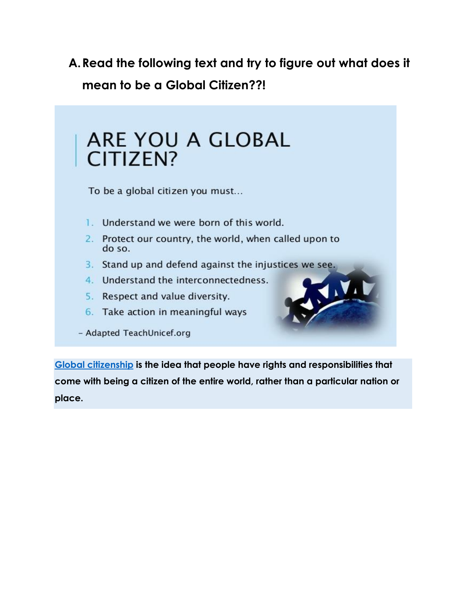**A.Read the following text and try to figure out what does it mean to be a Global Citizen??!**

| ARE YOU A GLOBAL<br>CITIZEN?                                                                                  |
|---------------------------------------------------------------------------------------------------------------|
| To be a global citizen you must                                                                               |
| Understand we were born of this world.<br>Protect our country, the world, when called upon to<br>2.<br>do so. |
| Stand up and defend against the injustices we see.<br>З.                                                      |
| Understand the interconnectedness.<br>4.                                                                      |
| Respect and value diversity.<br>5.                                                                            |
| 6. Take action in meaningful ways                                                                             |
| - Adapted TeachUnicef.org                                                                                     |

**[Global citizenship](https://en.unesco.org/themes/gced) is the idea that people have rights and responsibilities that come with being a citizen of the entire world, rather than a particular nation or place.**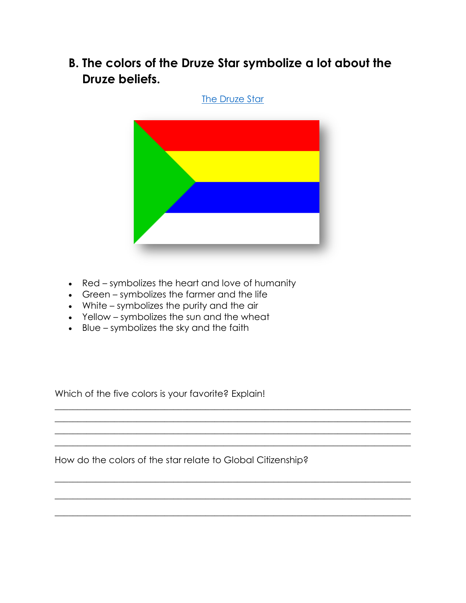**B. The colors of the Druze Star symbolize a lot about the Druze beliefs.**





 $\_$  , and the set of the set of the set of the set of the set of the set of the set of the set of the set of the set of the set of the set of the set of the set of the set of the set of the set of the set of the set of th  $\mathcal{L}_\mathcal{L}$  , and the contribution of the contribution of the contribution of the contribution of the contribution of the contribution of the contribution of the contribution of the contribution of the contribution of  $\_$  , and the set of the set of the set of the set of the set of the set of the set of the set of the set of the set of the set of the set of the set of the set of the set of the set of the set of the set of the set of th  $\_$  , and the set of the set of the set of the set of the set of the set of the set of the set of the set of the set of the set of the set of the set of the set of the set of the set of the set of the set of the set of th

 $\_$  , and the set of the set of the set of the set of the set of the set of the set of the set of the set of the set of the set of the set of the set of the set of the set of the set of the set of the set of the set of th

 $\_$  , and the set of the set of the set of the set of the set of the set of the set of the set of the set of the set of the set of the set of the set of the set of the set of the set of the set of the set of the set of th

 $\_$  , and the set of the set of the set of the set of the set of the set of the set of the set of the set of the set of the set of the set of the set of the set of the set of the set of the set of the set of the set of th

- Red symbolizes the heart and love of humanity
- Green symbolizes the farmer and the life
- White symbolizes the purity and the air
- Yellow symbolizes the sun and the wheat
- Blue symbolizes the sky and the faith

Which of the five colors is your favorite? Explain!

How do the colors of the star relate to Global Citizenship?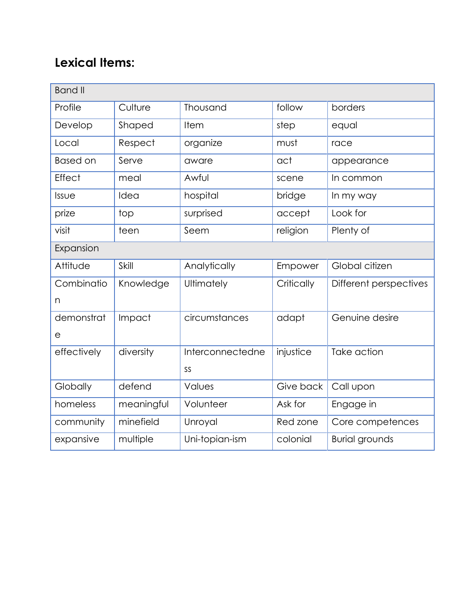# **Lexical Items:**

| <b>Band II</b>  |            |                      |                                   |                        |
|-----------------|------------|----------------------|-----------------------------------|------------------------|
| Profile         | Culture    | Thousand<br>follow   |                                   | borders                |
| Develop         | Shaped     | Item                 | step                              | equal                  |
| Local           | Respect    | organize             | must                              | race                   |
| <b>Based on</b> | Serve      | aware                | act                               | appearance             |
| Effect          | meal       | Awful                | scene                             | In common              |
| Issue           | Idea       | hospital             | bridge                            | In my way              |
| prize           | top        | surprised            | accept                            | Look for               |
| visit           | teen       | Seem                 | religion                          | Plenty of              |
| Expansion       |            |                      |                                   |                        |
| Attitude        | Skill      | Analytically         | Empower                           | Global citizen         |
| Combinatio      | Knowledge  | Ultimately           | Critically                        | Different perspectives |
| n               |            |                      |                                   |                        |
| demonstrat      | Impact     | circumstances        | adapt                             | Genuine desire         |
| $\mathsf{e}$    |            |                      |                                   |                        |
| effectively     | diversity  | Interconnectedne     | injustice                         | Take action            |
|                 |            | SS                   |                                   |                        |
| Globally        | defend     | Values               | Give back                         | Call upon              |
| homeless        | meaningful | Volunteer<br>Ask for |                                   | Engage in              |
| community       | minefield  | Unroyal<br>Red zone  |                                   | Core competences       |
| expansive       | multiple   | Uni-topian-ism       | colonial<br><b>Burial grounds</b> |                        |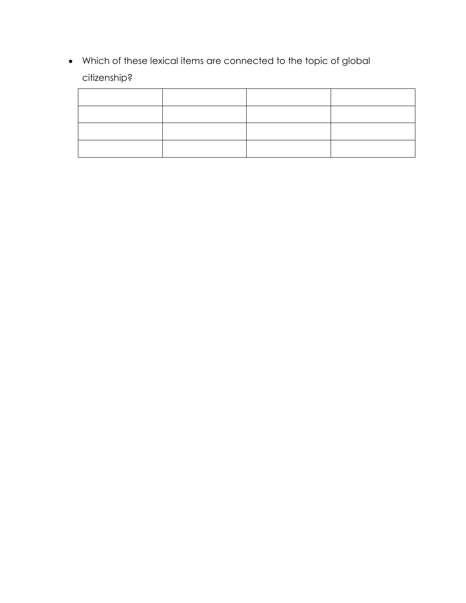Which of these lexical items are connected to the topic of global citizenship?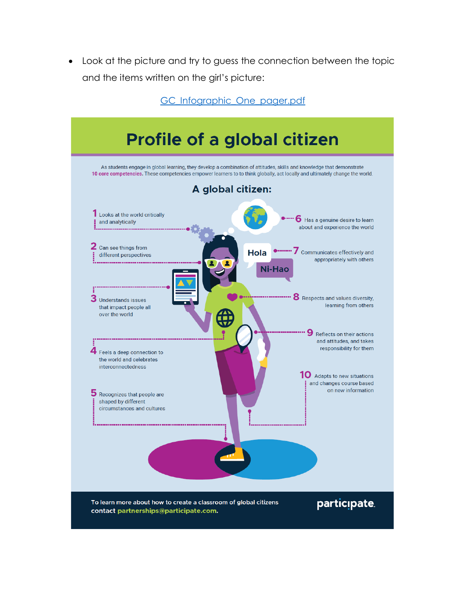Look at the picture and try to guess the connection between the topic and the items written on the girl's picture:

GC Infographic One pager.pdf

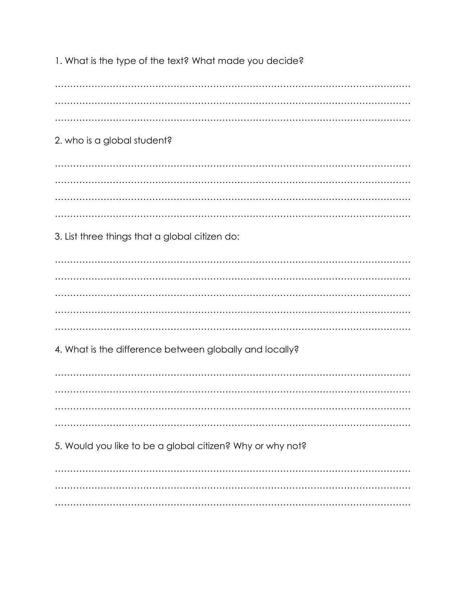1. What is the type of the text? What made you decide?

2. who is a global student? 3. List three things that a global citizen do: 4. What is the difference between globally and locally? 5. Would you like to be a global citizen? Why or why not?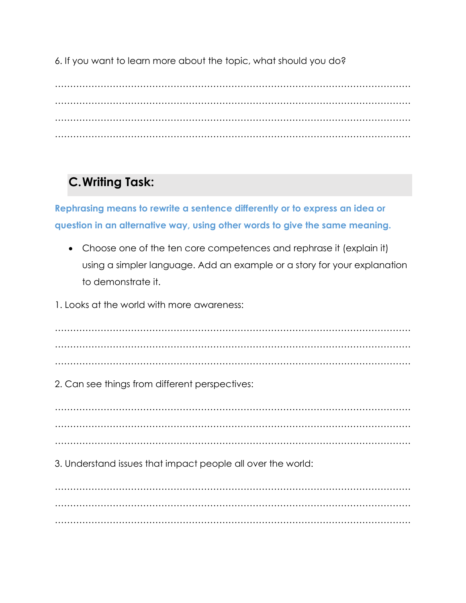6. If you want to learn more about the topic, what should you do?

……………………………………………………………………………………………………… ……………………………………………………………………………………………………… ……………………………………………………………………………………………………… ………………………………………………………………………………………………………

### **C.Writing Task:**

**Rephrasing means to rewrite a sentence differently or to express an idea or question in an alternative way, using other words to give the same meaning.**

- Choose one of the ten core competences and rephrase it (explain it) using a simpler language. Add an example or a story for your explanation to demonstrate it.
- 1. Looks at the world with more awareness:

……………………………………………………………………………………………………… ……………………………………………………………………………………………………… ………………………………………………………………………………………………………

2. Can see things from different perspectives:

……………………………………………………………………………………………………… ……………………………………………………………………………………………………… ………………………………………………………………………………………………………

3. Understand issues that impact people all over the world:

……………………………………………………………………………………………………… ……………………………………………………………………………………………………… ………………………………………………………………………………………………………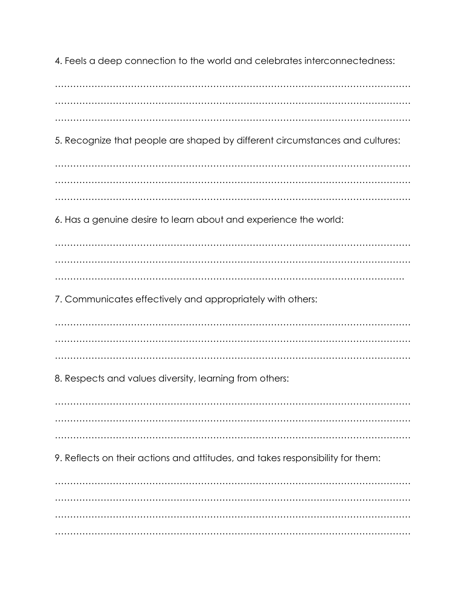4. Feels a deep connection to the world and celebrates interconnectedness:

……………………………………………………………………………………………………… ……………………………………………………………………………………………………… ……………………………………………………………………………………………………… 5. Recognize that people are shaped by different circumstances and cultures: ……………………………………………………………………………………………………… ……………………………………………………………………………………………………… ……………………………………………………………………………………………………… 6. Has a genuine desire to learn about and experience the world: ……………………………………………………………………………………………………… ……………………………………………………………………………………………………… ……………………………………………………………………………………………………. 7. Communicates effectively and appropriately with others: ……………………………………………………………………………………………………… ……………………………………………………………………………………………………… ……………………………………………………………………………………………………… 8. Respects and values diversity, learning from others: ……………………………………………………………………………………………………… ……………………………………………………………………………………………………… ……………………………………………………………………………………………………… 9. Reflects on their actions and attitudes, and takes responsibility for them: ……………………………………………………………………………………………………… ……………………………………………………………………………………………………… ……………………………………………………………………………………………………… ………………………………………………………………………………………………………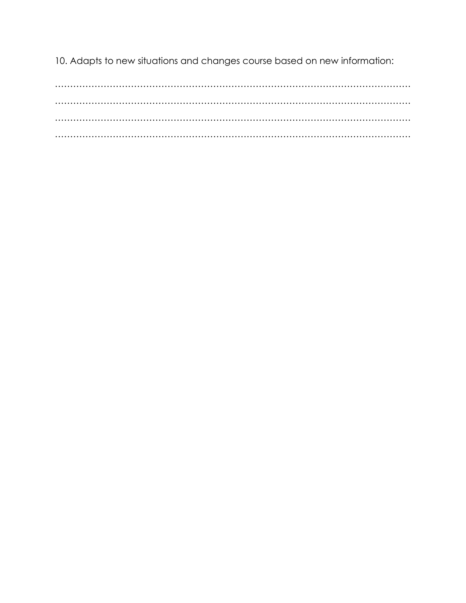10. Adapts to new situations and changes course based on new information: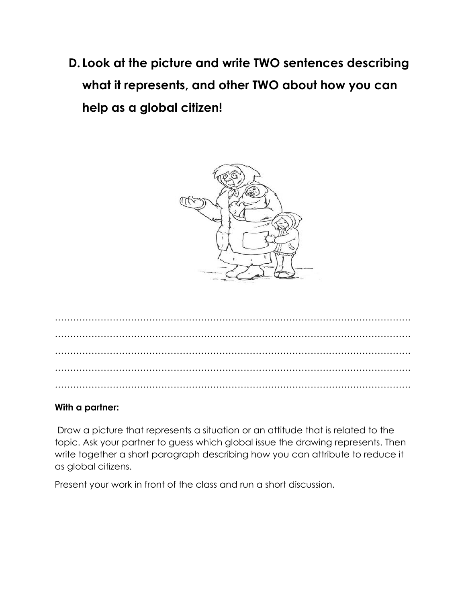**D. Look at the picture and write TWO sentences describing what it represents, and other TWO about how you can help as a global citizen!**



#### **With a partner:**

Draw a picture that represents a situation or an attitude that is related to the topic. Ask your partner to guess which global issue the drawing represents. Then write together a short paragraph describing how you can attribute to reduce it as global citizens.

Present your work in front of the class and run a short discussion.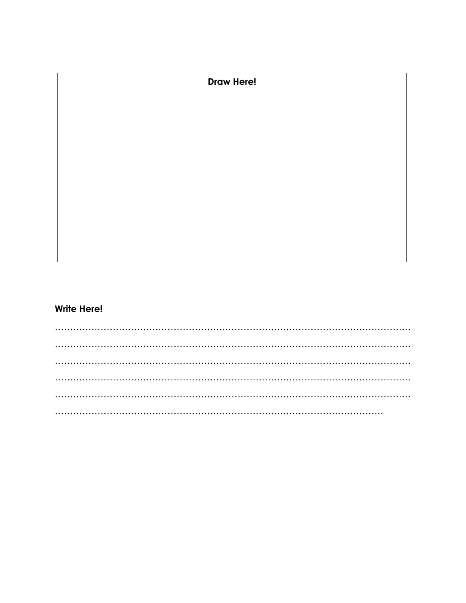**Draw Here!** 

#### **Write Here!**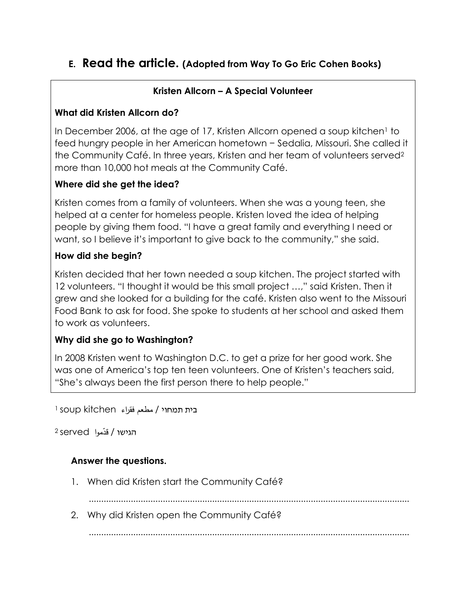### **E. Read the article. (Adopted from Way To Go Eric Cohen Books)**

### **Kristen Allcorn – A Special Volunteer**

#### **What did Kristen Allcorn do?**

In December 2006, at the age of 17, Kristen Allcorn opened a soup kitchen<sup>1</sup> to feed hungry people in her American hometown − Sedalia, Missouri. She called it the Community Café. In three years, Kristen and her team of volunteers served<sup>2</sup> more than 10,000 hot meals at the Community Café.

#### **Where did she get the idea?**

Kristen comes from a family of volunteers. When she was a young teen, she helped at a center for homeless people. Kristen loved the idea of helping people by giving them food. "I have a great family and everything I need or want, so I believe it's important to give back to the community," she said.

#### **How did she begin?**

Kristen decided that her town needed a soup kitchen. The project started with 12 volunteers. "I thought it would be this small project …," said Kristen. Then it grew and she looked for a building for the café. Kristen also went to the Missouri Food Bank to ask for food. She spoke to students at her school and asked them to work as volunteers.

#### **Why did she go to Washington?**

In 2008 Kristen went to Washington D.C. to get a prize for her good work. She was one of America's top ten teen volunteers. One of Kristen's teachers said, "She's always been the first person there to help people."

בית תמחוי / مطعم فقراء kitchen soup<sup>1</sup>

2 Served <mark>قدّموا</mark> Served 2

#### **Answer the questions.**

1. When did Kristen start the Community Café?

..................................................................................................................................

2. Why did Kristen open the Community Café?

..................................................................................................................................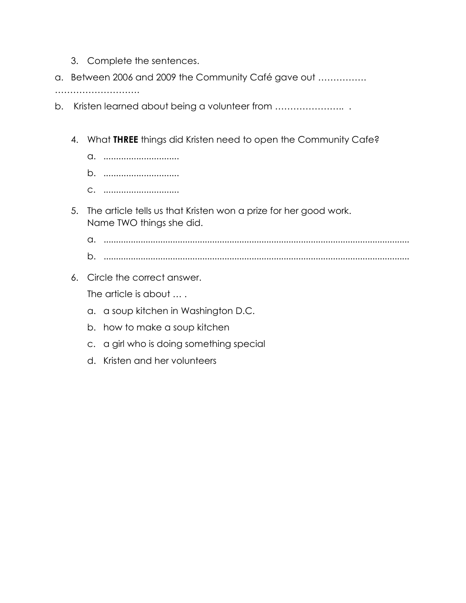- 3. Complete the sentences.
- a. Between 2006 and 2009 the Community Café gave out …………….

………………………………

- b. Kristen learned about being a volunteer from ………………….. .
	- 4. What **THREE** things did Kristen need to open the Community Cafe?
		- a. ..............................
		- b. ..............................
		- c. ..............................
	- 5. The article tells us that Kristen won a prize for her good work. Name TWO things she did.
		- a. ............................................................................................................................ b. ............................................................................................................................
	- 6. Circle the correct answer.

The article is about … .

- a. a soup kitchen in Washington D.C.
- b. how to make a soup kitchen
- c. a girl who is doing something special
- d. Kristen and her volunteers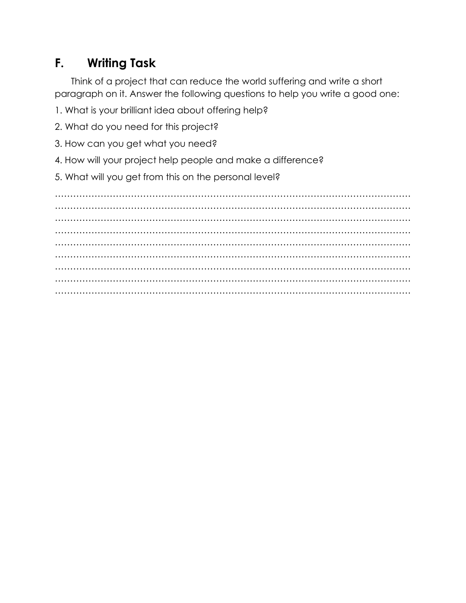### **F. Writing Task**

Think of a project that can reduce the world suffering and write a short paragraph on it. Answer the following questions to help you write a good one:

1. What is your brilliant idea about offering help?

2. What do you need for this project?

- 3. How can you get what you need?
- 4. How will your project help people and make a difference?

5. What will you get from this on the personal level?

……………………………………………………………………………………………………… ……………………………………………………………………………………………………… ……………………………………………………………………………………………………… ……………………………………………………………………………………………………… ……………………………………………………………………………………………………… ……………………………………………………………………………………………………… ……………………………………………………………………………………………………… ……………………………………………………………………………………………………… ………………………………………………………………………………………………………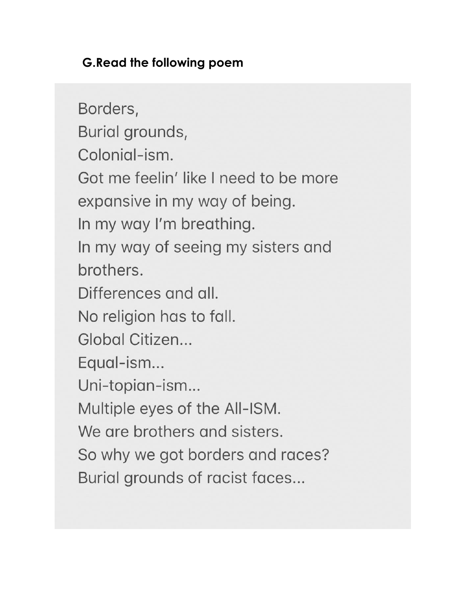### **G.Read the following poem**

Borders, Burial grounds, Colonial-ism. Got me feelin' like I need to be more expansive in my way of being. In my way I'm breathing. In my way of seeing my sisters and brothers. Differences and all. No religion has to fall. Global Citizen... Equal-ism... Uni-topian-ism... Multiple eyes of the All-ISM. We are brothers and sisters. So why we got borders and races? Burial grounds of racist faces...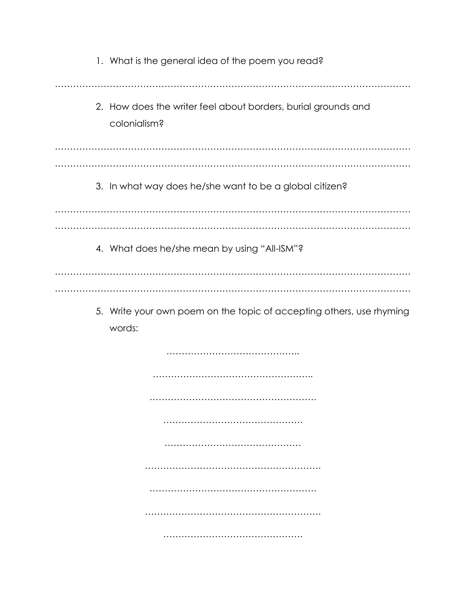| 1. What is the general idea of the poem you read?                             |
|-------------------------------------------------------------------------------|
| 2. How does the writer feel about borders, burial grounds and<br>colonialism? |
|                                                                               |
| 3. In what way does he/she want to be a global citizen?                       |
|                                                                               |
| 4. What does he/she mean by using "All-ISM"?                                  |
|                                                                               |
| 5. Write your own poem on the topic of accepting others, use rhyming          |

words: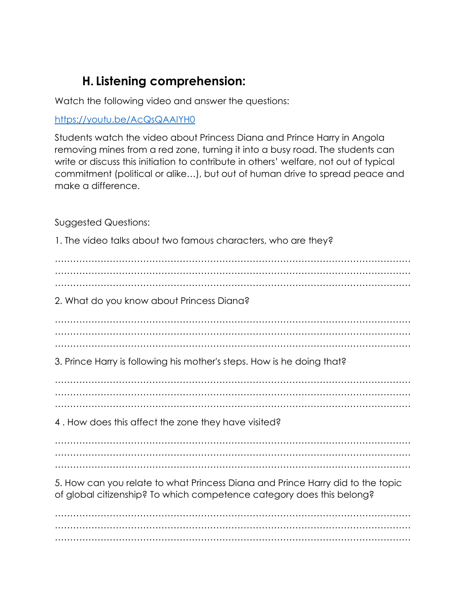### **H. Listening comprehension:**

Watch the following video and answer the questions:

#### <https://youtu.be/AcQsQAAIYH0>

Students watch the video about Princess Diana and Prince Harry in Angola removing mines from a red zone, turning it into a busy road. The students can write or discuss this initiation to contribute in others' welfare, not out of typical commitment (political or alike…), but out of human drive to spread peace and make a difference.

Suggested Questions:

1. The video talks about two famous characters, who are they? ……………………………………………………………………………………………………… ……………………………………………………………………………………………………… ……………………………………………………………………………………………………… 2. What do you know about Princess Diana? ……………………………………………………………………………………………………… ……………………………………………………………………………………………………… ……………………………………………………………………………………………………… 3. Prince Harry is following his mother's steps. How is he doing that? ……………………………………………………………………………………………………… ……………………………………………………………………………………………………… ……………………………………………………………………………………………………… 4 . How does this affect the zone they have visited? ……………………………………………………………………………………………………… ……………………………………………………………………………………………………… ……………………………………………………………………………………………………… 5. How can you relate to what Princess Diana and Prince Harry did to the topic of global citizenship? To which competence category does this belong? ……………………………………………………………………………………………………… ……………………………………………………………………………………………………… ………………………………………………………………………………………………………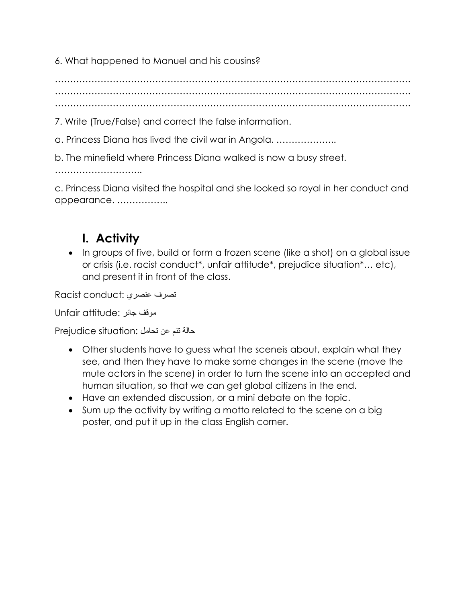6. What happened to Manuel and his cousins?

……………………………………………………………………………………………………… ……………………………………………………………………………………………………… ………………………………………………………………………………………………………

7. Write (True/False) and correct the false information.

a. Princess Diana has lived the civil war in Angola. ………………..

b. The minefield where Princess Diana walked is now a busy street.

…………………………………

c. Princess Diana visited the hospital and she looked so royal in her conduct and appearance. ……………..

## **I. Activity**

• In groups of five, build or form a frozen scene (like a shot) on a global issue or crisis (i.e. racist conduct\*, unfair attitude\*, prejudice situation\*… etc), and present it in front of the class.

تصرف عنصري :conduct Racist

Dnfair attitude: موقف جائر

حالة تنم عن تحامل :situation Prejudice

- Other students have to guess what the sceneis about, explain what they see, and then they have to make some changes in the scene (move the mute actors in the scene) in order to turn the scene into an accepted and human situation, so that we can get global citizens in the end.
- Have an extended discussion, or a mini debate on the topic.
- Sum up the activity by writing a motto related to the scene on a big poster, and put it up in the class English corner.